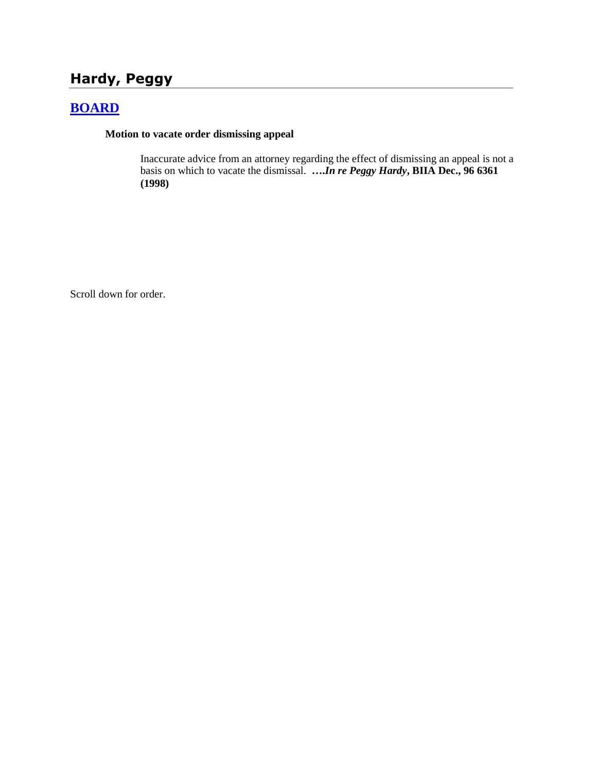# **Hardy, Peggy**

## **[BOARD](http://www.biia.wa.gov/SDSubjectIndex.html#BOARD)**

#### **Motion to vacate order dismissing appeal**

Inaccurate advice from an attorney regarding the effect of dismissing an appeal is not a basis on which to vacate the dismissal. **….***In re Peggy Hardy***, BIIA Dec., 96 6361 (1998)**

Scroll down for order.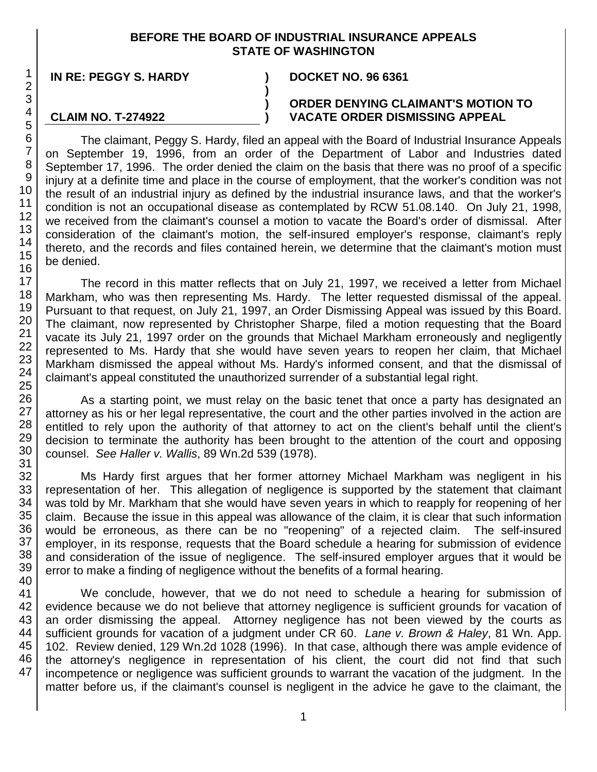### **BEFORE THE BOARD OF INDUSTRIAL INSURANCE APPEALS STATE OF WASHINGTON**

**) ) )**

**IN RE: PEGGY S. HARDY ) DOCKET NO. 96 6361**

**CLAIM NO. T-274922**

#### **ORDER DENYING CLAIMANT'S MOTION TO VACATE ORDER DISMISSING APPEAL**

The claimant, Peggy S. Hardy, filed an appeal with the Board of Industrial Insurance Appeals on September 19, 1996, from an order of the Department of Labor and Industries dated September 17, 1996. The order denied the claim on the basis that there was no proof of a specific injury at a definite time and place in the course of employment, that the worker's condition was not the result of an industrial injury as defined by the industrial insurance laws, and that the worker's condition is not an occupational disease as contemplated by RCW 51.08.140. On July 21, 1998, we received from the claimant's counsel a motion to vacate the Board's order of dismissal. After consideration of the claimant's motion, the self-insured employer's response, claimant's reply thereto, and the records and files contained herein, we determine that the claimant's motion must be denied.

The record in this matter reflects that on July 21, 1997, we received a letter from Michael Markham, who was then representing Ms. Hardy. The letter requested dismissal of the appeal. Pursuant to that request, on July 21, 1997, an Order Dismissing Appeal was issued by this Board. The claimant, now represented by Christopher Sharpe, filed a motion requesting that the Board vacate its July 21, 1997 order on the grounds that Michael Markham erroneously and negligently represented to Ms. Hardy that she would have seven years to reopen her claim, that Michael Markham dismissed the appeal without Ms. Hardy's informed consent, and that the dismissal of claimant's appeal constituted the unauthorized surrender of a substantial legal right.

As a starting point, we must relay on the basic tenet that once a party has designated an attorney as his or her legal representative, the court and the other parties involved in the action are entitled to rely upon the authority of that attorney to act on the client's behalf until the client's decision to terminate the authority has been brought to the attention of the court and opposing counsel. *See Haller v. Wallis*, 89 Wn.2d 539 (1978).

Ms Hardy first argues that her former attorney Michael Markham was negligent in his representation of her. This allegation of negligence is supported by the statement that claimant was told by Mr. Markham that she would have seven years in which to reapply for reopening of her claim. Because the issue in this appeal was allowance of the claim, it is clear that such information would be erroneous, as there can be no "reopening" of a rejected claim. The self-insured employer, in its response, requests that the Board schedule a hearing for submission of evidence and consideration of the issue of negligence. The self-insured employer argues that it would be error to make a finding of negligence without the benefits of a formal hearing.

We conclude, however, that we do not need to schedule a hearing for submission of evidence because we do not believe that attorney negligence is sufficient grounds for vacation of an order dismissing the appeal. Attorney negligence has not been viewed by the courts as sufficient grounds for vacation of a judgment under CR 60. *Lane v. Brown & Haley*, 81 Wn. App. 102. Review denied, 129 Wn.2d 1028 (1996). In that case, although there was ample evidence of the attorney's negligence in representation of his client, the court did not find that such incompetence or negligence was sufficient grounds to warrant the vacation of the judgment. In the matter before us, if the claimant's counsel is negligent in the advice he gave to the claimant, the